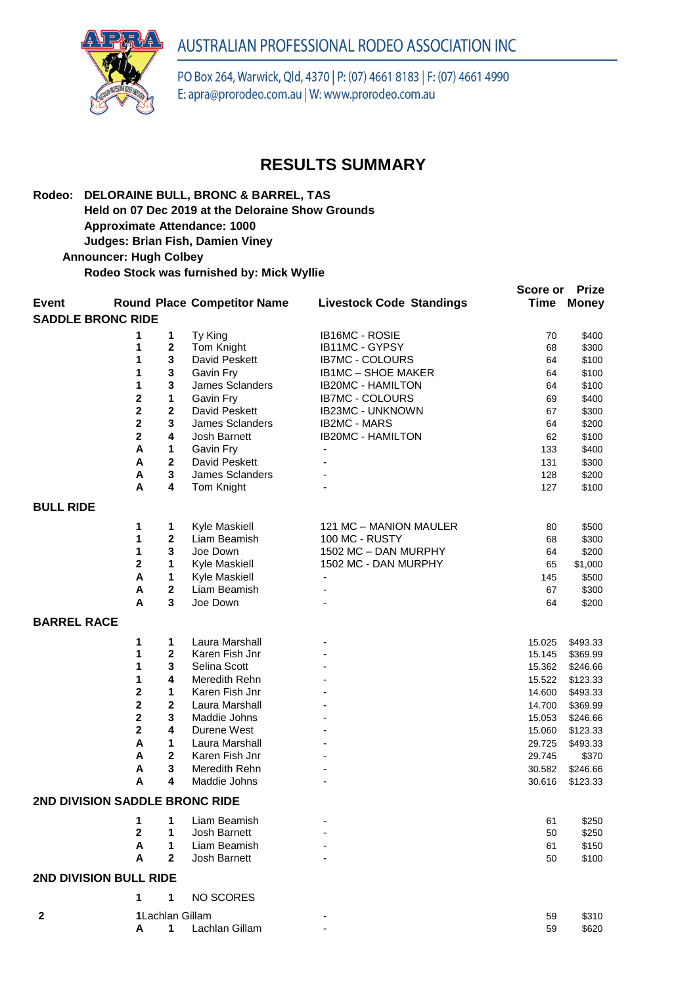## AUSTRALIAN PROFESSIONAL RODEO ASSOCIATION INC



PO Box 264, Warwick, Qld, 4370 | P: (07) 4661 8183 | F: (07) 4661 4990 E: apra@prorodeo.com.au | W: www.prorodeo.com.au

## **RESULTS SUMMARY**

**Score or Prize** 

## **Rodeo: DELORAINE BULL, BRONC & BARREL, TAS Held on 07 Dec 2019 at the Deloraine Show Grounds Approximate Attendance: 1000**

**Judges: Brian Fish, Damien Viney** 

 **Announcer: Hugh Colbey**

**Rodeo Stock was furnished by: Mick Wyllie**

| <b>Event</b>                   |                         |                 | <b>Round Place Competitor Name</b> | <b>Livestock Code Standings</b> | <b>Time</b>      | <b>Money</b>         |  |  |  |  |  |  |
|--------------------------------|-------------------------|-----------------|------------------------------------|---------------------------------|------------------|----------------------|--|--|--|--|--|--|
| <b>SADDLE BRONC RIDE</b>       |                         |                 |                                    |                                 |                  |                      |  |  |  |  |  |  |
|                                | 1                       | 1               | Ty King                            | IB16MC - ROSIE                  | 70               | \$400                |  |  |  |  |  |  |
|                                | 1                       | $\mathbf 2$     | Tom Knight                         | IB11MC - GYPSY                  | 68               | \$300                |  |  |  |  |  |  |
|                                | 1                       | 3               | David Peskett                      | <b>IB7MC - COLOURS</b>          | 64               | \$100                |  |  |  |  |  |  |
|                                | 1                       | 3               | Gavin Fry                          | IB1MC - SHOE MAKER              | 64               | \$100                |  |  |  |  |  |  |
|                                | 1                       | 3               | James Sclanders                    | <b>IB20MC - HAMILTON</b>        | 64               | \$100                |  |  |  |  |  |  |
|                                | $\overline{\mathbf{2}}$ | 1               | Gavin Fry                          | <b>IB7MC - COLOURS</b>          | 69               | \$400                |  |  |  |  |  |  |
|                                | $\overline{\mathbf{2}}$ | $\mathbf 2$     | David Peskett                      | IB23MC - UNKNOWN                | 67               | \$300                |  |  |  |  |  |  |
|                                | $\overline{\mathbf{2}}$ | 3               | James Sclanders                    | <b>IB2MC - MARS</b>             | 64               | \$200                |  |  |  |  |  |  |
|                                | $\mathbf 2$             | 4               | Josh Barnett                       | <b>IB20MC - HAMILTON</b>        | 62               | \$100                |  |  |  |  |  |  |
|                                | A                       | 1               | Gavin Fry                          |                                 | 133              | \$400                |  |  |  |  |  |  |
|                                | A                       | $\mathbf{2}$    | David Peskett                      |                                 | 131              | \$300                |  |  |  |  |  |  |
|                                | A                       | 3               | James Sclanders                    |                                 | 128              | \$200                |  |  |  |  |  |  |
|                                | A                       | 4               | Tom Knight                         |                                 | 127              | \$100                |  |  |  |  |  |  |
|                                |                         |                 |                                    |                                 |                  |                      |  |  |  |  |  |  |
| <b>BULL RIDE</b>               |                         |                 |                                    |                                 |                  |                      |  |  |  |  |  |  |
|                                | 1                       | 1               | Kyle Maskiell                      | 121 MC - MANION MAULER          | 80               | \$500                |  |  |  |  |  |  |
|                                | 1                       | 2               | Liam Beamish                       | 100 MC - RUSTY                  | 68               | \$300                |  |  |  |  |  |  |
|                                | 1                       | 3               | Joe Down                           | 1502 MC - DAN MURPHY            | 64               | \$200                |  |  |  |  |  |  |
|                                | $\overline{\mathbf{2}}$ | 1               | Kyle Maskiell                      | 1502 MC - DAN MURPHY            | 65               | \$1,000              |  |  |  |  |  |  |
|                                | A                       | 1               | Kyle Maskiell                      | $\overline{\phantom{a}}$        | 145              | \$500                |  |  |  |  |  |  |
|                                | A                       | $\mathbf 2$     | Liam Beamish                       |                                 | 67               | \$300                |  |  |  |  |  |  |
|                                | A                       | 3               | Joe Down                           |                                 | 64               | \$200                |  |  |  |  |  |  |
| <b>BARREL RACE</b>             |                         |                 |                                    |                                 |                  |                      |  |  |  |  |  |  |
|                                |                         |                 |                                    |                                 |                  |                      |  |  |  |  |  |  |
|                                | 1<br>1                  | 1<br>2          | Laura Marshall<br>Karen Fish Jnr   |                                 | 15.025           | \$493.33             |  |  |  |  |  |  |
|                                | 1                       | 3               | Selina Scott                       |                                 | 15.145<br>15.362 | \$369.99<br>\$246.66 |  |  |  |  |  |  |
|                                | 1                       | 4               | Meredith Rehn                      |                                 | 15.522           | \$123.33             |  |  |  |  |  |  |
|                                | $\mathbf 2$             | 1               | Karen Fish Jnr                     |                                 | 14.600           | \$493.33             |  |  |  |  |  |  |
|                                | $\overline{\mathbf{2}}$ | $\mathbf 2$     | Laura Marshall                     |                                 | 14.700           | \$369.99             |  |  |  |  |  |  |
|                                | $\overline{\mathbf{2}}$ | 3               | Maddie Johns                       |                                 | 15.053           | \$246.66             |  |  |  |  |  |  |
|                                | $\overline{\mathbf{2}}$ | 4               | Durene West                        |                                 | 15.060           | \$123.33             |  |  |  |  |  |  |
|                                | A                       | 1               | Laura Marshall                     |                                 | 29.725           | \$493.33             |  |  |  |  |  |  |
|                                | A                       | $\mathbf 2$     | Karen Fish Jnr                     |                                 | 29.745           | \$370                |  |  |  |  |  |  |
|                                | A                       | 3               | Meredith Rehn                      |                                 | 30.582           | \$246.66             |  |  |  |  |  |  |
|                                | A                       | 4               | Maddie Johns                       |                                 | 30.616           | \$123.33             |  |  |  |  |  |  |
| 2ND DIVISION SADDLE BRONC RIDE |                         |                 |                                    |                                 |                  |                      |  |  |  |  |  |  |
|                                |                         |                 |                                    |                                 |                  |                      |  |  |  |  |  |  |
|                                |                         |                 | 1 1 Liam Beamish                   |                                 | 61               | \$250                |  |  |  |  |  |  |
|                                | 2                       | 1               | Josh Barnett                       |                                 | 50               | \$250                |  |  |  |  |  |  |
|                                | Α                       | 1               | Liam Beamish                       |                                 | 61               | \$150                |  |  |  |  |  |  |
|                                | A                       | $\mathbf{2}$    | Josh Barnett                       |                                 | 50               | \$100                |  |  |  |  |  |  |
| 2ND DIVISION BULL RIDE         |                         |                 |                                    |                                 |                  |                      |  |  |  |  |  |  |
|                                | 1                       | 1               | <b>NO SCORES</b>                   |                                 |                  |                      |  |  |  |  |  |  |
| $\mathbf{2}$                   |                         | 1Lachlan Gillam |                                    |                                 | 59               | \$310                |  |  |  |  |  |  |
|                                |                         |                 | 1 Lachlan Gillam                   |                                 | 59               | \$620                |  |  |  |  |  |  |